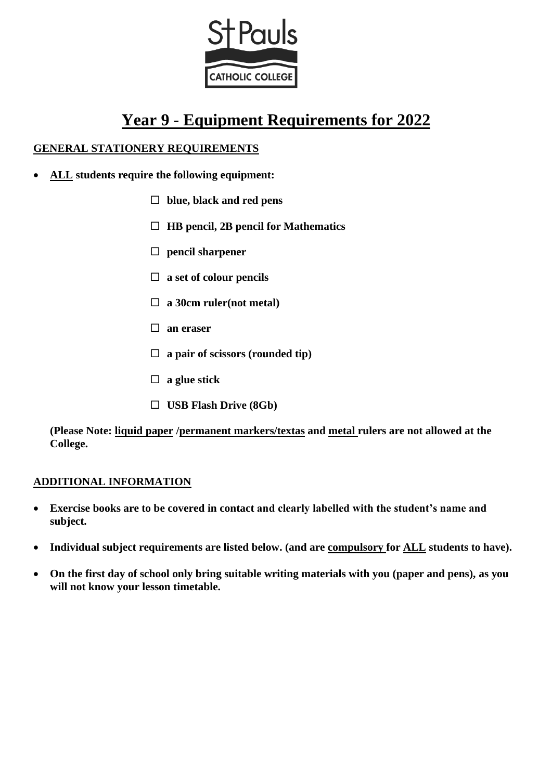

# **Year 9 - Equipment Requirements for 2022**

# **GENERAL STATIONERY REQUIREMENTS**

- **ALL students require the following equipment:**
	- **blue, black and red pens**
	- **HB pencil, 2B pencil for Mathematics**
	- **pencil sharpener**
	- **a set of colour pencils**
	- **a 30cm ruler(not metal)**
	- **an eraser**
	- **a pair of scissors (rounded tip)**
	- **a glue stick**
	- **USB Flash Drive (8Gb)**

**(Please Note: liquid paper /permanent markers/textas and metal rulers are not allowed at the College.** 

# **ADDITIONAL INFORMATION**

- **Exercise books are to be covered in contact and clearly labelled with the student's name and subject.**
- **Individual subject requirements are listed below. (and are compulsory for ALL students to have).**
- **On the first day of school only bring suitable writing materials with you (paper and pens), as you will not know your lesson timetable.**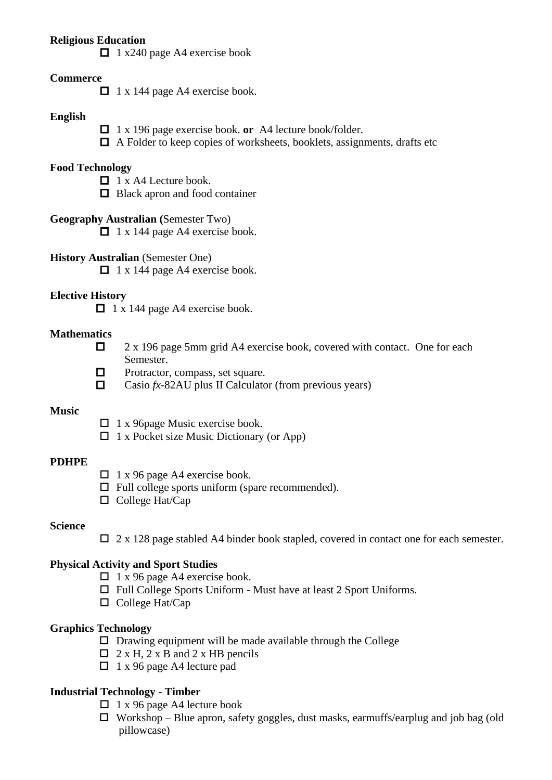## **Religious Education**

 $\Box$  1 x240 page A4 exercise book

## **Commerce**

 $\Box$  1 x 144 page A4 exercise book.

#### **English**

- 1 x 196 page exercise book. **or** A4 lecture book/folder.
- $\Box$  A Folder to keep copies of worksheets, booklets, assignments, drafts etc

#### **Food Technology**

- $\Box$  1 x A4 Lecture book.
- $\Box$  Black apron and food container
- **Geography Australian (**Semester Two)
	- $\Box$  1 x 144 page A4 exercise book.
- **History Australian** (Semester One)

 $\Box$  1 x 144 page A4 exercise book.

## **Elective History**

 $\Box$  1 x 144 page A4 exercise book.

#### **Mathematics**

- $\Box$  2 x 196 page 5mm grid A4 exercise book, covered with contact. One for each Semester.
- $\Box$  Protractor, compass, set square.
- Casio  $fx-82AU$  plus II Calculator (from previous years)

#### **Music**

- $\Box$  1 x 96 page Music exercise book.
- $\Box$  1 x Pocket size Music Dictionary (or App)

## **PDHPE**

- $\Box$  1 x 96 page A4 exercise book.
- $\Box$  Full college sports uniform (spare recommended).
- $\Box$  College Hat/Cap

## **Science**

 $\Box$  2 x 128 page stabled A4 binder book stapled, covered in contact one for each semester.

## **Physical Activity and Sport Studies**

- $\Box$  1 x 96 page A4 exercise book.
- $\Box$  Full College Sports Uniform Must have at least 2 Sport Uniforms.
- $\Box$  College Hat/Cap

## **Graphics Technology**

- $\square$  Drawing equipment will be made available through the College
- $\Box$  2 x H, 2 x B and 2 x HB pencils
- $\Box$  1 x 96 page A4 lecture pad

## **Industrial Technology - Timber**

- $\Box$  1 x 96 page A4 lecture book
- $\Box$  Workshop Blue apron, safety goggles, dust masks, earmuffs/earplug and job bag (old pillowcase)